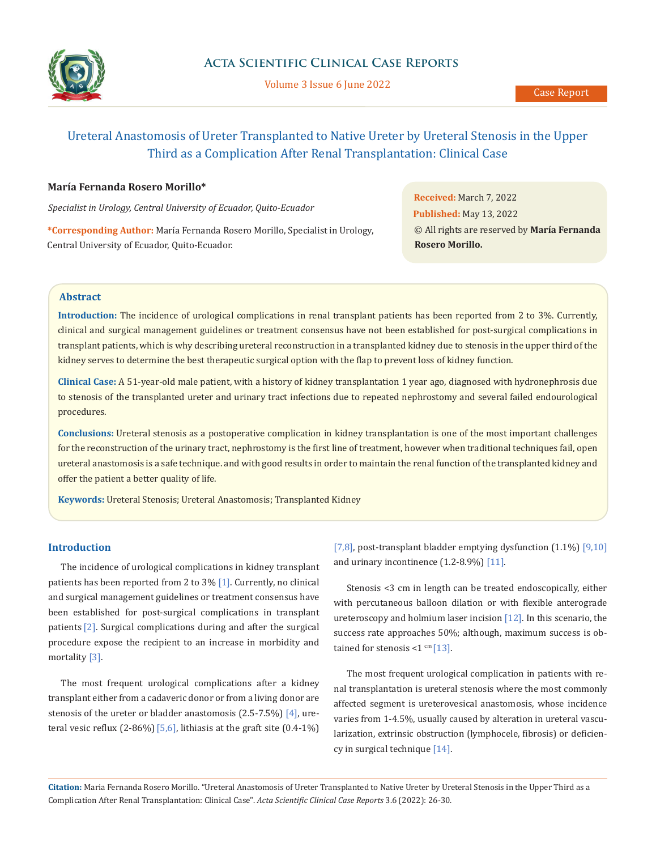

Volume 3 Issue 6 June 2022

# Ureteral Anastomosis of Ureter Transplanted to Native Ureter by Ureteral Stenosis in the Upper Third as a Complication After Renal Transplantation: Clinical Case

### **María Fernanda Rosero Morillo\***

*Specialist in Urology, Central University of Ecuador, Quito-Ecuador*

**\*Corresponding Author:** María Fernanda Rosero Morillo, Specialist in Urology, Central University of Ecuador, Quito-Ecuador.

**Received:** March 7, 2022 **Published:** May 13, 2022 © All rights are reserved by **María Fernanda Rosero Morillo.**

#### **Abstract**

**Introduction:** The incidence of urological complications in renal transplant patients has been reported from 2 to 3%. Currently, clinical and surgical management guidelines or treatment consensus have not been established for post-surgical complications in transplant patients, which is why describing ureteral reconstruction in a transplanted kidney due to stenosis in the upper third of the kidney serves to determine the best therapeutic surgical option with the flap to prevent loss of kidney function.

**Clinical Case:** A 51-year-old male patient, with a history of kidney transplantation 1 year ago, diagnosed with hydronephrosis due to stenosis of the transplanted ureter and urinary tract infections due to repeated nephrostomy and several failed endourological procedures.

**Conclusions:** Ureteral stenosis as a postoperative complication in kidney transplantation is one of the most important challenges for the reconstruction of the urinary tract, nephrostomy is the first line of treatment, however when traditional techniques fail, open ureteral anastomosis is a safe technique. and with good results in order to maintain the renal function of the transplanted kidney and offer the patient a better quality of life.

**Keywords:** Ureteral Stenosis; Ureteral Anastomosis; Transplanted Kidney

### **Introduction**

The incidence of urological complications in kidney transplant patients has been reported from 2 to 3% [1]. Currently, no clinical and surgical management guidelines or treatment consensus have been established for post-surgical complications in transplant patients [2]. Surgical complications during and after the surgical procedure expose the recipient to an increase in morbidity and mortality [3].

The most frequent urological complications after a kidney transplant either from a cadaveric donor or from a living donor are stenosis of the ureter or bladder anastomosis  $(2.5-7.5\%)$  [4], ureteral vesic reflux  $(2-86%)$  [5,6], lithiasis at the graft site  $(0.4-1%)$ 

[7,8], post-transplant bladder emptying dysfunction (1.1%) [9,10] and urinary incontinence (1.2-8.9%) [11].

Stenosis <3 cm in length can be treated endoscopically, either with percutaneous balloon dilation or with flexible anterograde ureteroscopy and holmium laser incision [12]. In this scenario, the success rate approaches 50%; although, maximum success is obtained for stenosis  $<1$  cm [13].

The most frequent urological complication in patients with renal transplantation is ureteral stenosis where the most commonly affected segment is ureterovesical anastomosis, whose incidence varies from 1-4.5%, usually caused by alteration in ureteral vascularization, extrinsic obstruction (lymphocele, fibrosis) or deficiency in surgical technique [14].

**Citation:** Maria Fernanda Rosero Morillo. "Ureteral Anastomosis of Ureter Transplanted to Native Ureter by Ureteral Stenosis in the Upper Third as a Complication After Renal Transplantation: Clinical Case". *Acta Scientific Clinical Case Reports* 3.6 (2022): 26-30.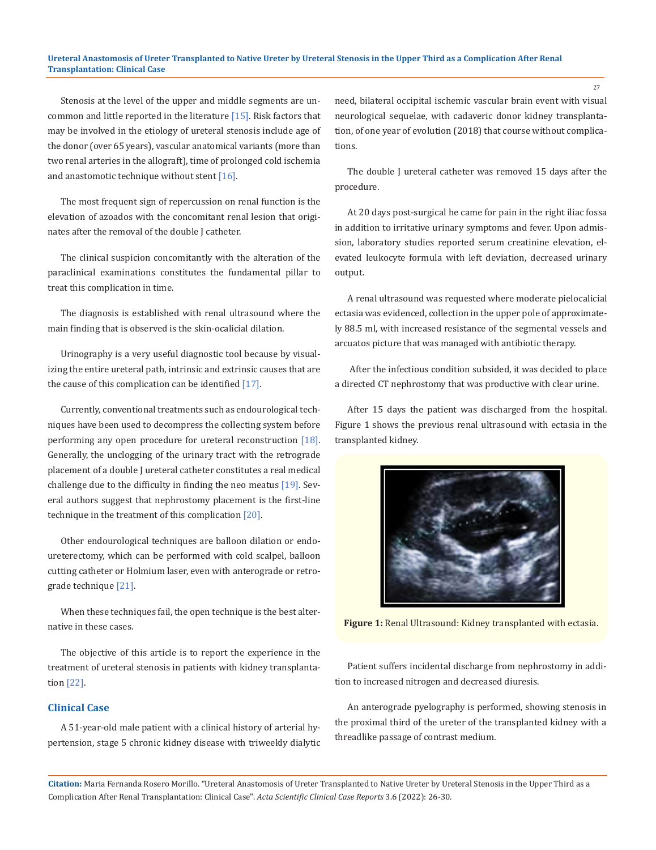#### **Ureteral Anastomosis of Ureter Transplanted to Native Ureter by Ureteral Stenosis in the Upper Third as a Complication After Renal Transplantation: Clinical Case**

Stenosis at the level of the upper and middle segments are uncommon and little reported in the literature [15]. Risk factors that may be involved in the etiology of ureteral stenosis include age of the donor (over 65 years), vascular anatomical variants (more than two renal arteries in the allograft), time of prolonged cold ischemia and anastomotic technique without stent [16].

The most frequent sign of repercussion on renal function is the elevation of azoados with the concomitant renal lesion that originates after the removal of the double J catheter.

The clinical suspicion concomitantly with the alteration of the paraclinical examinations constitutes the fundamental pillar to treat this complication in time.

The diagnosis is established with renal ultrasound where the main finding that is observed is the skin-ocalicial dilation.

Urinography is a very useful diagnostic tool because by visualizing the entire ureteral path, intrinsic and extrinsic causes that are the cause of this complication can be identified [17].

Currently, conventional treatments such as endourological techniques have been used to decompress the collecting system before performing any open procedure for ureteral reconstruction [18]. Generally, the unclogging of the urinary tract with the retrograde placement of a double J ureteral catheter constitutes a real medical challenge due to the difficulty in finding the neo meatus [19]. Several authors suggest that nephrostomy placement is the first-line technique in the treatment of this complication [20].

Other endourological techniques are balloon dilation or endoureterectomy, which can be performed with cold scalpel, balloon cutting catheter or Holmium laser, even with anterograde or retrograde technique [21].

When these techniques fail, the open technique is the best alternative in these cases.

The objective of this article is to report the experience in the treatment of ureteral stenosis in patients with kidney transplantation [22].

# **Clinical Case**

A 51-year-old male patient with a clinical history of arterial hypertension, stage 5 chronic kidney disease with triweekly dialytic need, bilateral occipital ischemic vascular brain event with visual neurological sequelae, with cadaveric donor kidney transplantation, of one year of evolution (2018) that course without complications.

The double J ureteral catheter was removed 15 days after the procedure.

At 20 days post-surgical he came for pain in the right iliac fossa in addition to irritative urinary symptoms and fever. Upon admission, laboratory studies reported serum creatinine elevation, elevated leukocyte formula with left deviation, decreased urinary output.

A renal ultrasound was requested where moderate pielocalicial ectasia was evidenced, collection in the upper pole of approximately 88.5 ml, with increased resistance of the segmental vessels and arcuatos picture that was managed with antibiotic therapy.

 After the infectious condition subsided, it was decided to place a directed CT nephrostomy that was productive with clear urine.

After 15 days the patient was discharged from the hospital. Figure 1 shows the previous renal ultrasound with ectasia in the transplanted kidney.



**Figure 1:** Renal Ultrasound: Kidney transplanted with ectasia.

Patient suffers incidental discharge from nephrostomy in addition to increased nitrogen and decreased diuresis.

An anterograde pyelography is performed, showing stenosis in the proximal third of the ureter of the transplanted kidney with a threadlike passage of contrast medium.

**Citation:** Maria Fernanda Rosero Morillo. "Ureteral Anastomosis of Ureter Transplanted to Native Ureter by Ureteral Stenosis in the Upper Third as a Complication After Renal Transplantation: Clinical Case". *Acta Scientific Clinical Case Reports* 3.6 (2022): 26-30.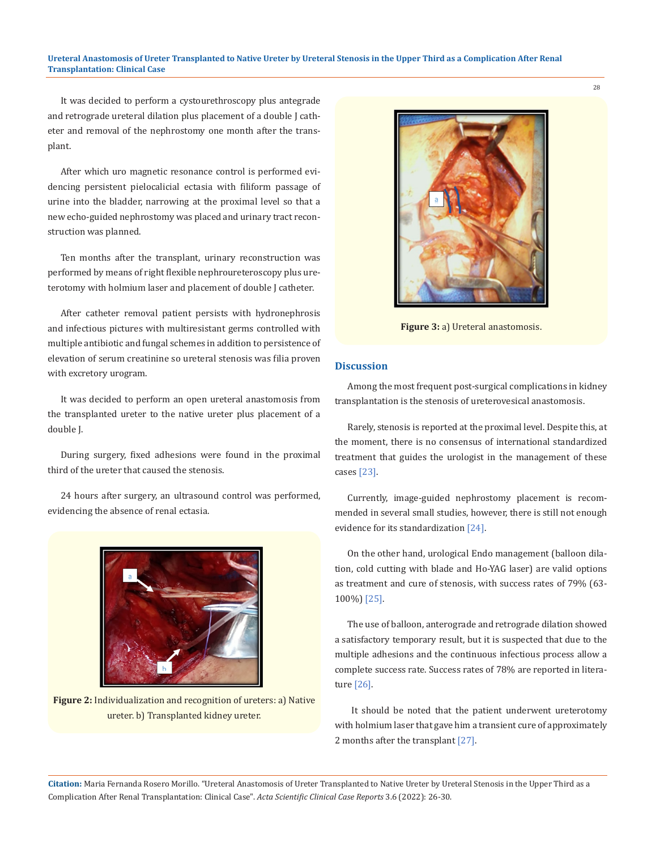#### **Ureteral Anastomosis of Ureter Transplanted to Native Ureter by Ureteral Stenosis in the Upper Third as a Complication After Renal Transplantation: Clinical Case**

It was decided to perform a cystourethroscopy plus antegrade and retrograde ureteral dilation plus placement of a double J catheter and removal of the nephrostomy one month after the transplant.

After which uro magnetic resonance control is performed evidencing persistent pielocalicial ectasia with filiform passage of urine into the bladder, narrowing at the proximal level so that a new echo-guided nephrostomy was placed and urinary tract reconstruction was planned.

Ten months after the transplant, urinary reconstruction was performed by means of right flexible nephroureteroscopy plus ureterotomy with holmium laser and placement of double J catheter.

After catheter removal patient persists with hydronephrosis and infectious pictures with multiresistant germs controlled with multiple antibiotic and fungal schemes in addition to persistence of elevation of serum creatinine so ureteral stenosis was filia proven with excretory urogram.

It was decided to perform an open ureteral anastomosis from the transplanted ureter to the native ureter plus placement of a double J.

During surgery, fixed adhesions were found in the proximal third of the ureter that caused the stenosis.

24 hours after surgery, an ultrasound control was performed, evidencing the absence of renal ectasia.



**Figure 2:** Individualization and recognition of ureters: a) Native ureter. b) Transplanted kidney ureter.



**Figure 3:** a) Ureteral anastomosis.

#### **Discussion**

Among the most frequent post-surgical complications in kidney transplantation is the stenosis of ureterovesical anastomosis.

Rarely, stenosis is reported at the proximal level. Despite this, at the moment, there is no consensus of international standardized treatment that guides the urologist in the management of these cases [23].

Currently, image-guided nephrostomy placement is recommended in several small studies, however, there is still not enough evidence for its standardization [24].

On the other hand, urological Endo management (balloon dilation, cold cutting with blade and Ho-YAG laser) are valid options as treatment and cure of stenosis, with success rates of 79% (63- 100%) [25].

The use of balloon, anterograde and retrograde dilation showed a satisfactory temporary result, but it is suspected that due to the multiple adhesions and the continuous infectious process allow a complete success rate. Success rates of 78% are reported in literature [26].

 It should be noted that the patient underwent ureterotomy with holmium laser that gave him a transient cure of approximately 2 months after the transplant [27].

**Citation:** Maria Fernanda Rosero Morillo. "Ureteral Anastomosis of Ureter Transplanted to Native Ureter by Ureteral Stenosis in the Upper Third as a Complication After Renal Transplantation: Clinical Case". *Acta Scientific Clinical Case Reports* 3.6 (2022): 26-30.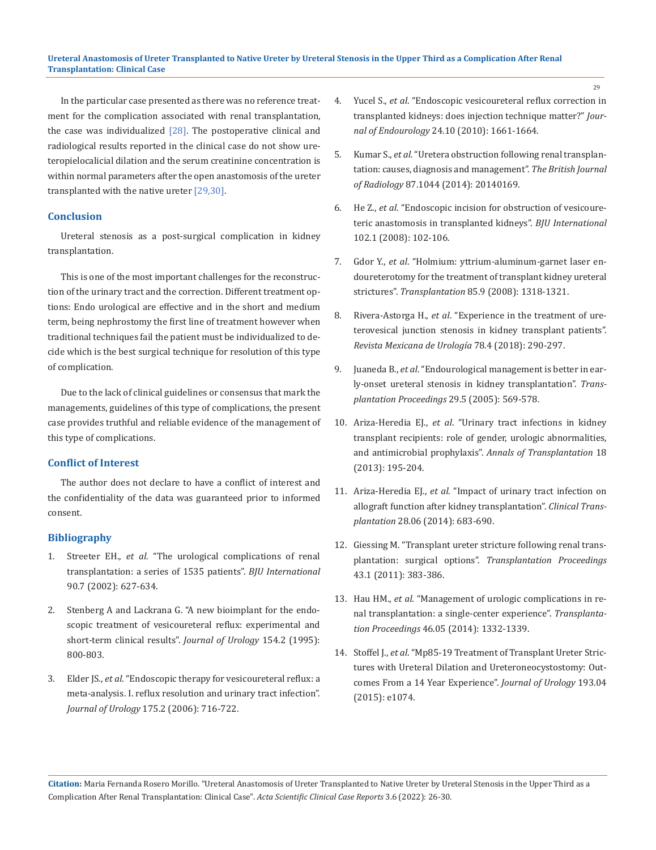In the particular case presented as there was no reference treatment for the complication associated with renal transplantation, the case was individualized  $[28]$ . The postoperative clinical and radiological results reported in the clinical case do not show ureteropielocalicial dilation and the serum creatinine concentration is within normal parameters after the open anastomosis of the ureter transplanted with the native ureter [29,30].

### **Conclusion**

Ureteral stenosis as a post-surgical complication in kidney transplantation.

This is one of the most important challenges for the reconstruction of the urinary tract and the correction. Different treatment options: Endo urological are effective and in the short and medium term, being nephrostomy the first line of treatment however when traditional techniques fail the patient must be individualized to decide which is the best surgical technique for resolution of this type of complication.

Due to the lack of clinical guidelines or consensus that mark the managements, guidelines of this type of complications, the present case provides truthful and reliable evidence of the management of this type of complications.

# **Conflict of Interest**

The author does not declare to have a conflict of interest and the confidentiality of the data was guaranteed prior to informed consent.

## **Bibliography**

- 1. Streeter EH., *et al*. ["The urological complications of renal](https://pubmed.ncbi.nlm.nih.gov/12410737/) [transplantation: a series of 1535 patients".](https://pubmed.ncbi.nlm.nih.gov/12410737/) *BJU International*  [90.7 \(2002\): 627-634.](https://pubmed.ncbi.nlm.nih.gov/12410737/)
- 2. [Stenberg A and Lackrana G. "A new bioimplant for the endo](https://pubmed.ncbi.nlm.nih.gov/7541869/)[scopic treatment of vesicoureteral reflux: experimental and](https://pubmed.ncbi.nlm.nih.gov/7541869/) [short-term clinical results".](https://pubmed.ncbi.nlm.nih.gov/7541869/) *Journal of Urology* 154.2 (1995): [800-803.](https://pubmed.ncbi.nlm.nih.gov/7541869/)
- 3. Elder JS., *et al*. ["Endoscopic therapy for vesicoureteral reflux: a](https://pubmed.ncbi.nlm.nih.gov/16407037/) [meta-analysis. I. reflux resolution and urinary tract infection".](https://pubmed.ncbi.nlm.nih.gov/16407037/) *Journal of Urology* [175.2 \(2006\): 716-722.](https://pubmed.ncbi.nlm.nih.gov/16407037/)
- 4. Yucel S., *et al*. ["Endoscopic vesicoureteral reflux correction in](https://pubmed.ncbi.nlm.nih.gov/20626270/)  [transplanted kidneys: does injection technique matter?"](https://pubmed.ncbi.nlm.nih.gov/20626270/) *Journal of Endourology* [24.10 \(2010\): 1661-1664.](https://pubmed.ncbi.nlm.nih.gov/20626270/)
- 5. Kumar S., *et al*[."Uretera obstruction following renal transplan](https://pubmed.ncbi.nlm.nih.gov/25284426/)[tation: causes, diagnosis and management".](https://pubmed.ncbi.nlm.nih.gov/25284426/) *The British Journal of Radiology* [87.1044 \(2014\): 20140169.](https://pubmed.ncbi.nlm.nih.gov/25284426/)
- 6. He Z., *et al*. ["Endoscopic incision for obstruction of vesicoure](https://pubmed.ncbi.nlm.nih.gov/18341628/)[teric anastomosis in transplanted kidneys".](https://pubmed.ncbi.nlm.nih.gov/18341628/) *BJU International*  [102.1 \(2008\): 102-106.](https://pubmed.ncbi.nlm.nih.gov/18341628/)
- 7. Gdor Y., *et al*. ["Holmium: yttrium-aluminum-garnet laser en](https://www.researchgate.net/publication/5376759_HolmiumYttrium-Aluminum-Garnet_Laser_Endoureterotomy_for_the_Treatment_of_Transplant_Kidney_Ureteral_Strictures)[doureterotomy for the treatment of transplant kidney ureteral](https://www.researchgate.net/publication/5376759_HolmiumYttrium-Aluminum-Garnet_Laser_Endoureterotomy_for_the_Treatment_of_Transplant_Kidney_Ureteral_Strictures)  strictures". *Transplantation* [85.9 \(2008\): 1318-1321.](https://www.researchgate.net/publication/5376759_HolmiumYttrium-Aluminum-Garnet_Laser_Endoureterotomy_for_the_Treatment_of_Transplant_Kidney_Ureteral_Strictures)
- 8. Rivera-Astorga H., *et al*. ["Experience in the treatment of ure](https://www.medigraphic.com/cgi-bin/new/resumenI.cgi?IDARTICULO=82115)[terovesical junction stenosis in kidney transplant patients".](https://www.medigraphic.com/cgi-bin/new/resumenI.cgi?IDARTICULO=82115)  *[Revista Mexicana de Urología](https://www.medigraphic.com/cgi-bin/new/resumenI.cgi?IDARTICULO=82115)* 78.4 (2018): 290-297.
- 9. Juaneda B., *et al*[."Endourological management is better in ear](https://pubmed.ncbi.nlm.nih.gov/15832079/)[ly-onset ureteral stenosis in kidney transplantation".](https://pubmed.ncbi.nlm.nih.gov/15832079/) *Trans[plantation Proceedings](https://pubmed.ncbi.nlm.nih.gov/15832079/)* 29.5 (2005): 569-578.
- 10. Ariza-Heredia EJ., *et al*. ["Urinary tract infections in kidney](https://pubmed.ncbi.nlm.nih.gov/23792521/)  [transplant recipients: role of gender, urologic abnormalities,](https://pubmed.ncbi.nlm.nih.gov/23792521/)  and antimicrobial prophylaxis". *[Annals of Transplantation](https://pubmed.ncbi.nlm.nih.gov/23792521/)* 18 [\(2013\): 195-204.](https://pubmed.ncbi.nlm.nih.gov/23792521/)
- 11. Ariza-Heredia EJ., *et al*. ["Impact of urinary tract infection on](https://pubmed.ncbi.nlm.nih.gov/24654771/)  [allograft function after kidney transplantation".](https://pubmed.ncbi.nlm.nih.gov/24654771/) *Clinical Transplantation* [28.06 \(2014\): 683-690.](https://pubmed.ncbi.nlm.nih.gov/24654771/)
- 12. [Giessing M. "Transplant ureter stricture following renal trans](https://pubmed.ncbi.nlm.nih.gov/21335227/)plantation: surgical options". *[Transplantation Proceedings](https://pubmed.ncbi.nlm.nih.gov/21335227/)*  [43.1 \(2011\): 383-386.](https://pubmed.ncbi.nlm.nih.gov/21335227/)
- 13. Hau HM., *et al*. ["Management of urologic complications in re](https://pubmed.ncbi.nlm.nih.gov/24935298/)[nal transplantation: a single-center experience".](https://pubmed.ncbi.nlm.nih.gov/24935298/) *Transplantation Proceedings* [46.05 \(2014\): 1332-1339.](https://pubmed.ncbi.nlm.nih.gov/24935298/)
- 14. Stoffel J., *et al*[."Mp85-19 Treatment of Transplant Ureter Stric](https://www.researchgate.net/publication/276540139_MP85-19_TREATMENT_OF_TRANSPLANT_URETER_STRICTURES_WITH_URETERAL_DILATION_AND_URETERONEOCYSTOSTOMY_OUTCOMES_FROM_A_14_YEAR_EXPERIENCE)[tures with Ureteral Dilation and Ureteroneocystostomy: Out](https://www.researchgate.net/publication/276540139_MP85-19_TREATMENT_OF_TRANSPLANT_URETER_STRICTURES_WITH_URETERAL_DILATION_AND_URETERONEOCYSTOSTOMY_OUTCOMES_FROM_A_14_YEAR_EXPERIENCE)[comes From a 14 Year Experience".](https://www.researchgate.net/publication/276540139_MP85-19_TREATMENT_OF_TRANSPLANT_URETER_STRICTURES_WITH_URETERAL_DILATION_AND_URETERONEOCYSTOSTOMY_OUTCOMES_FROM_A_14_YEAR_EXPERIENCE) *Journal of Urology* 193.04 [\(2015\): e1074.](https://www.researchgate.net/publication/276540139_MP85-19_TREATMENT_OF_TRANSPLANT_URETER_STRICTURES_WITH_URETERAL_DILATION_AND_URETERONEOCYSTOSTOMY_OUTCOMES_FROM_A_14_YEAR_EXPERIENCE)

**Citation:** Maria Fernanda Rosero Morillo. "Ureteral Anastomosis of Ureter Transplanted to Native Ureter by Ureteral Stenosis in the Upper Third as a Complication After Renal Transplantation: Clinical Case". *Acta Scientific Clinical Case Reports* 3.6 (2022): 26-30.